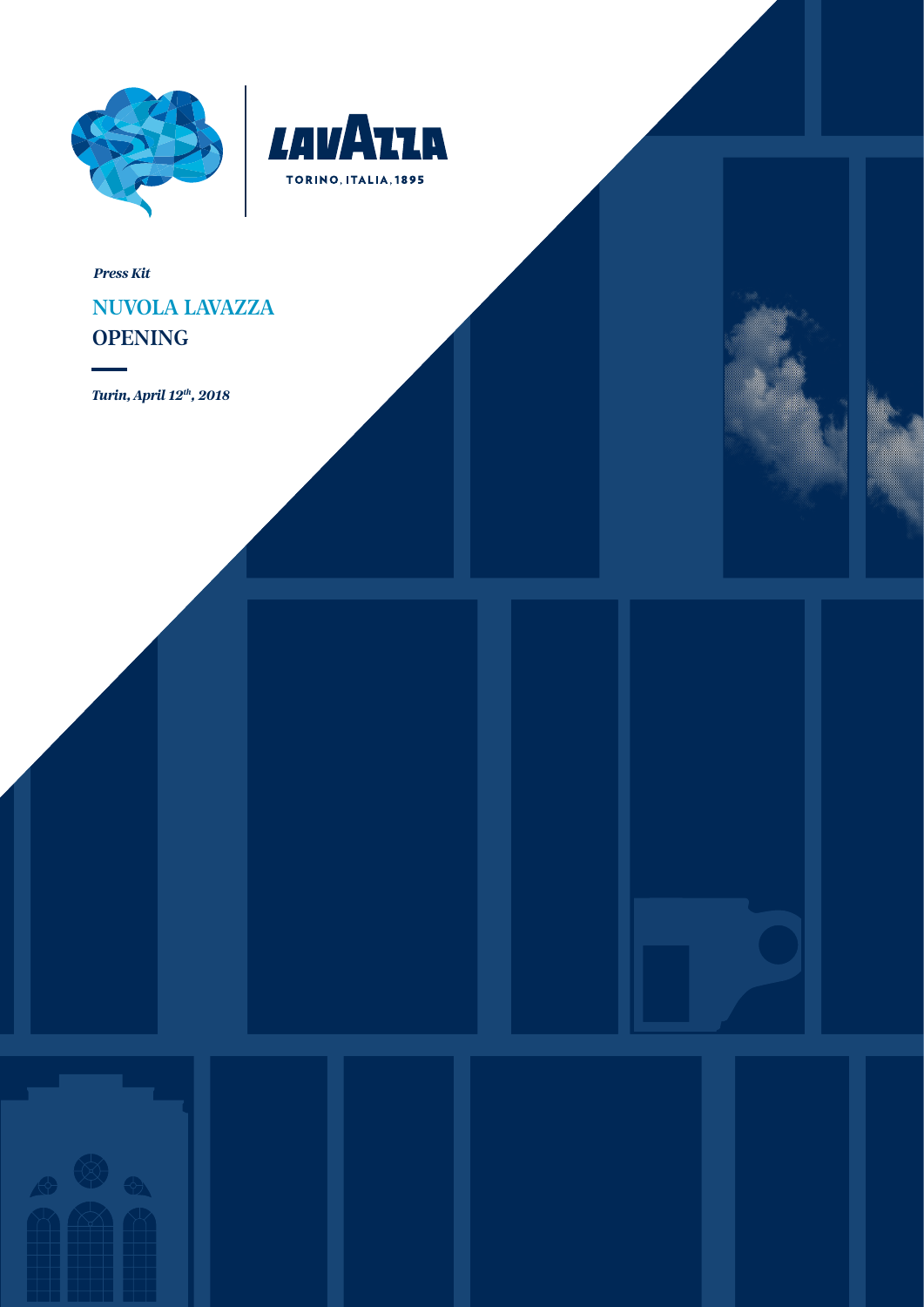



*Press Kit*

# NUVOLA LAVAZZA **OPENING**

*Turin, April 12th, 2018*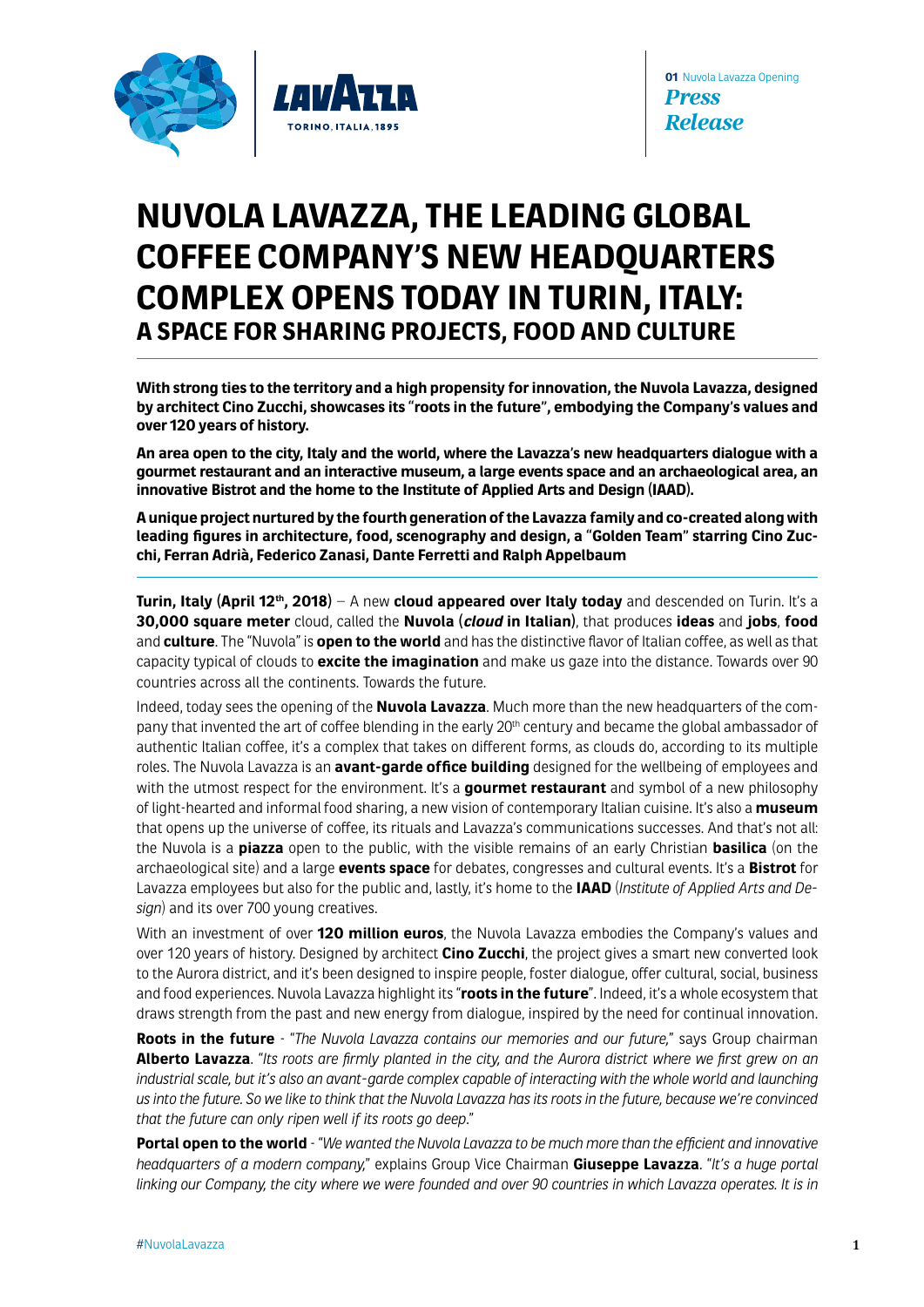

# **NUVOLA LAVAZZA, THE LEADING GLOBAL COFFEE COMPANY'S NEW HEADQUARTERS COMPLEX OPENS TODAY IN TURIN, ITALY: A SPACE FOR SHARING PROJECTS, FOOD AND CULTURE**

**With strong ties to the territory and a high propensity for innovation, the Nuvola Lavazza, designed by architect Cino Zucchi, showcases its "roots in the future", embodying the Company's values and over 120 years of history.**

**An area open to the city, Italy and the world, where the Lavazza's new headquarters dialogue with a gourmet restaurant and an interactive museum, a large events space and an archaeological area, an innovative Bistrot and the home to the Institute of Applied Arts and Design (IAAD).**

**A unique project nurtured by the fourth generation of the Lavazza family and co-created along with leading figures in architecture, food, scenography and design, a "Golden Team" starring Cino Zucchi, Ferran Adrià, Federico Zanasi, Dante Ferretti and Ralph Appelbaum**

**Turin, Italy (April 12th, 2018)** – A new **cloud appeared over Italy today** and descended on Turin. It's a **30,000 square meter** cloud, called the **Nuvola (cloud in Italian)**, that produces **ideas** and **jobs**, **food** and **culture**. The "Nuvola" is **open to the world** and has the distinctive flavor of Italian coffee, as well as that capacity typical of clouds to **excite the imagination** and make us gaze into the distance. Towards over 90 countries across all the continents. Towards the future.

Indeed, today sees the opening of the **Nuvola Lavazza**. Much more than the new headquarters of the company that invented the art of coffee blending in the early 20th century and became the global ambassador of authentic Italian coffee, it's a complex that takes on different forms, as clouds do, according to its multiple roles. The Nuvola Lavazza is an **avant-garde office building** designed for the wellbeing of employees and with the utmost respect for the environment. It's a **gourmet restaurant** and symbol of a new philosophy of light-hearted and informal food sharing, a new vision of contemporary Italian cuisine. It's also a **museum** that opens up the universe of coffee, its rituals and Lavazza's communications successes. And that's not all: the Nuvola is a **piazza** open to the public, with the visible remains of an early Christian **basilica** (on the archaeological site) and a large **events space** for debates, congresses and cultural events. It's a **Bistrot** for Lavazza employees but also for the public and, lastly, it's home to the **IAAD** (*Institute of Applied Arts and Design*) and its over 700 young creatives.

With an investment of over **120 million euros**, the Nuvola Lavazza embodies the Company's values and over 120 years of history. Designed by architect **Cino Zucchi**, the project gives a smart new converted look to the Aurora district, and it's been designed to inspire people, foster dialogue, offer cultural, social, business and food experiences. Nuvola Lavazza highlight its "**roots in the future**". Indeed, it's a whole ecosystem that draws strength from the past and new energy from dialogue, inspired by the need for continual innovation.

**Roots in the future** - "*The Nuvola Lavazza contains our memories and our future,*" says Group chairman **Alberto Lavazza**. "*Its roots are firmly planted in the city, and the Aurora district where we first grew on an industrial scale, but it's also an avant-garde complex capable of interacting with the whole world and launching us into the future. So we like to think that the Nuvola Lavazza has its roots in the future, because we're convinced that the future can only ripen well if its roots go deep*."

**Portal open to the world** - "*We wanted the Nuvola Lavazza to be much more than the efficient and innovative headquarters of a modern company,*" explains Group Vice Chairman **Giuseppe Lavazza**. "*It's a huge portal linking our Company, the city where we were founded and over 90 countries in which Lavazza operates. It is in*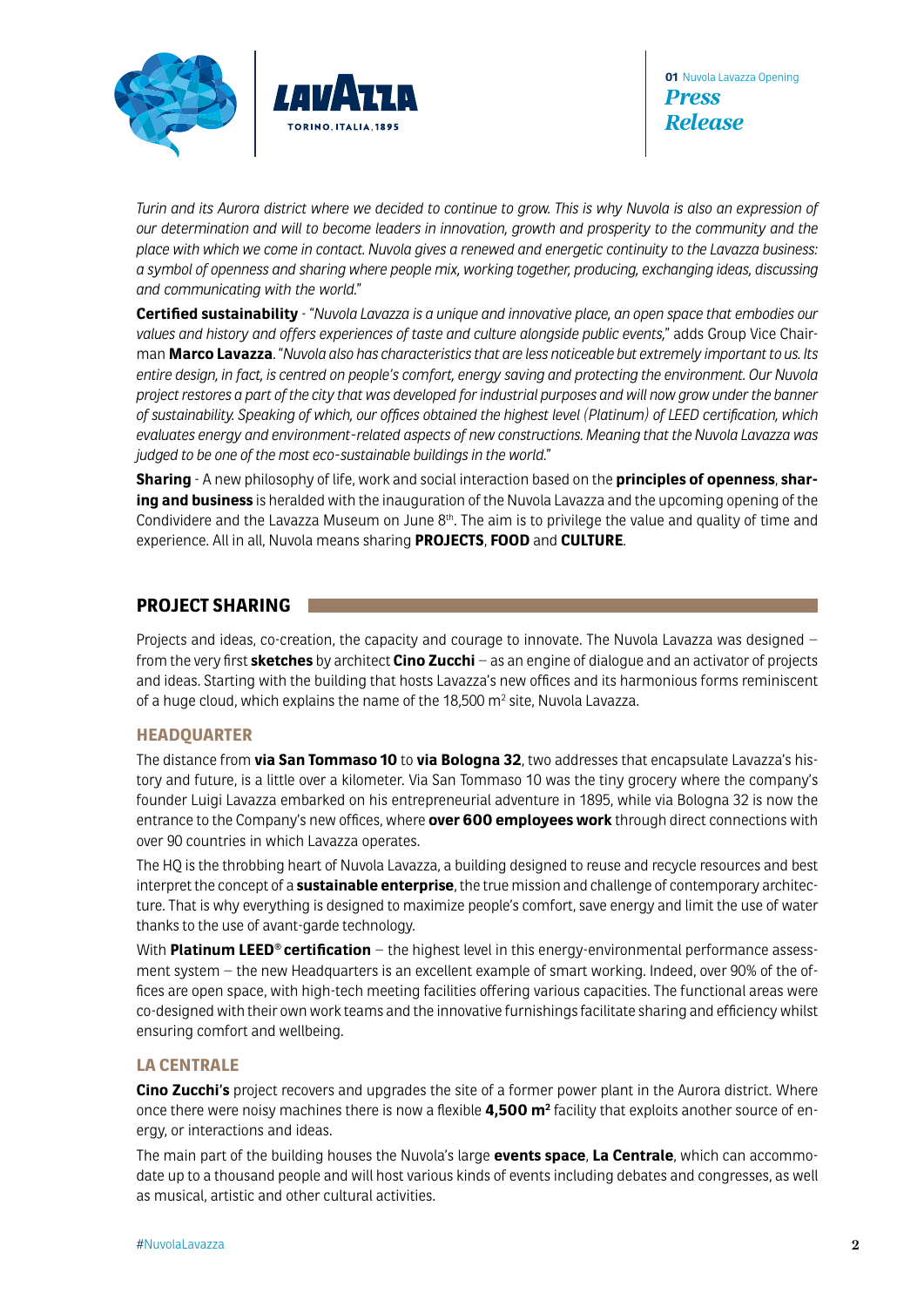

*Turin and its Aurora district where we decided to continue to grow. This is why Nuvola is also an expression of our determination and will to become leaders in innovation, growth and prosperity to the community and the place with which we come in contact. Nuvola gives a renewed and energetic continuity to the Lavazza business: a symbol of openness and sharing where people mix, working together, producing, exchanging ideas, discussing and communicating with the world.*"

**Certified sustainability** - "*Nuvola Lavazza is a unique and innovative place, an open space that embodies our values and history and offers experiences of taste and culture alongside public events,*" adds Group Vice Chairman **Marco Lavazza**. "*Nuvola also has characteristics that are less noticeable but extremely important to us. Its entire design, in fact, is centred on people's comfort, energy saving and protecting the environment. Our Nuvola project restores a part of the city that was developed for industrial purposes and will now grow under the banner of sustainability. Speaking of which, our offices obtained the highest level (Platinum) of LEED certification, which evaluates energy and environment-related aspects of new constructions. Meaning that the Nuvola Lavazza was judged to be one of the most eco-sustainable buildings in the world.*"

**Sharing** - A new philosophy of life, work and social interaction based on the **principles of openness**, **sharing and business** is heralded with the inauguration of the Nuvola Lavazza and the upcoming opening of the Condividere and the Lavazza Museum on June  $8<sup>th</sup>$ . The aim is to privilege the value and quality of time and experience. All in all, Nuvola means sharing **PROJECTS**, **FOOD** and **CULTURE**.

## **PROJECT SHARING**

Projects and ideas, co-creation, the capacity and courage to innovate. The Nuvola Lavazza was designed – from the very first **sketches** by architect **Cino Zucchi** – as an engine of dialogue and an activator of projects and ideas. Starting with the building that hosts Lavazza's new offices and its harmonious forms reminiscent of a huge cloud, which explains the name of the 18,500 m $^{\rm 2}$  site, Nuvola Lavazza.

#### **HEADQUARTER**

The distance from **via San Tommaso 10** to **via Bologna 32**, two addresses that encapsulate Lavazza's history and future, is a little over a kilometer. Via San Tommaso 10 was the tiny grocery where the company's founder Luigi Lavazza embarked on his entrepreneurial adventure in 1895, while via Bologna 32 is now the entrance to the Company's new offices, where **over 600 employees work** through direct connections with over 90 countries in which Lavazza operates.

The HQ is the throbbing heart of Nuvola Lavazza, a building designed to reuse and recycle resources and best interpret the concept of a **sustainable enterprise**, the true mission and challenge of contemporary architecture. That is why everything is designed to maximize people's comfort, save energy and limit the use of water thanks to the use of avant-garde technology.

With **Platinum LEED® certification** – the highest level in this energy-environmental performance assessment system – the new Headquarters is an excellent example of smart working. Indeed, over 90% of the offices are open space, with high-tech meeting facilities offering various capacities. The functional areas were co-designed with their own work teams and the innovative furnishings facilitate sharing and efficiency whilst ensuring comfort and wellbeing.

#### **LA CENTRALE**

**Cino Zucchi's** project recovers and upgrades the site of a former power plant in the Aurora district. Where once there were noisy machines there is now a flexible **4,500 m2** facility that exploits another source of energy, or interactions and ideas.

The main part of the building houses the Nuvola's large **events space**, **La Centrale**, which can accommodate up to a thousand people and will host various kinds of events including debates and congresses, as well as musical, artistic and other cultural activities.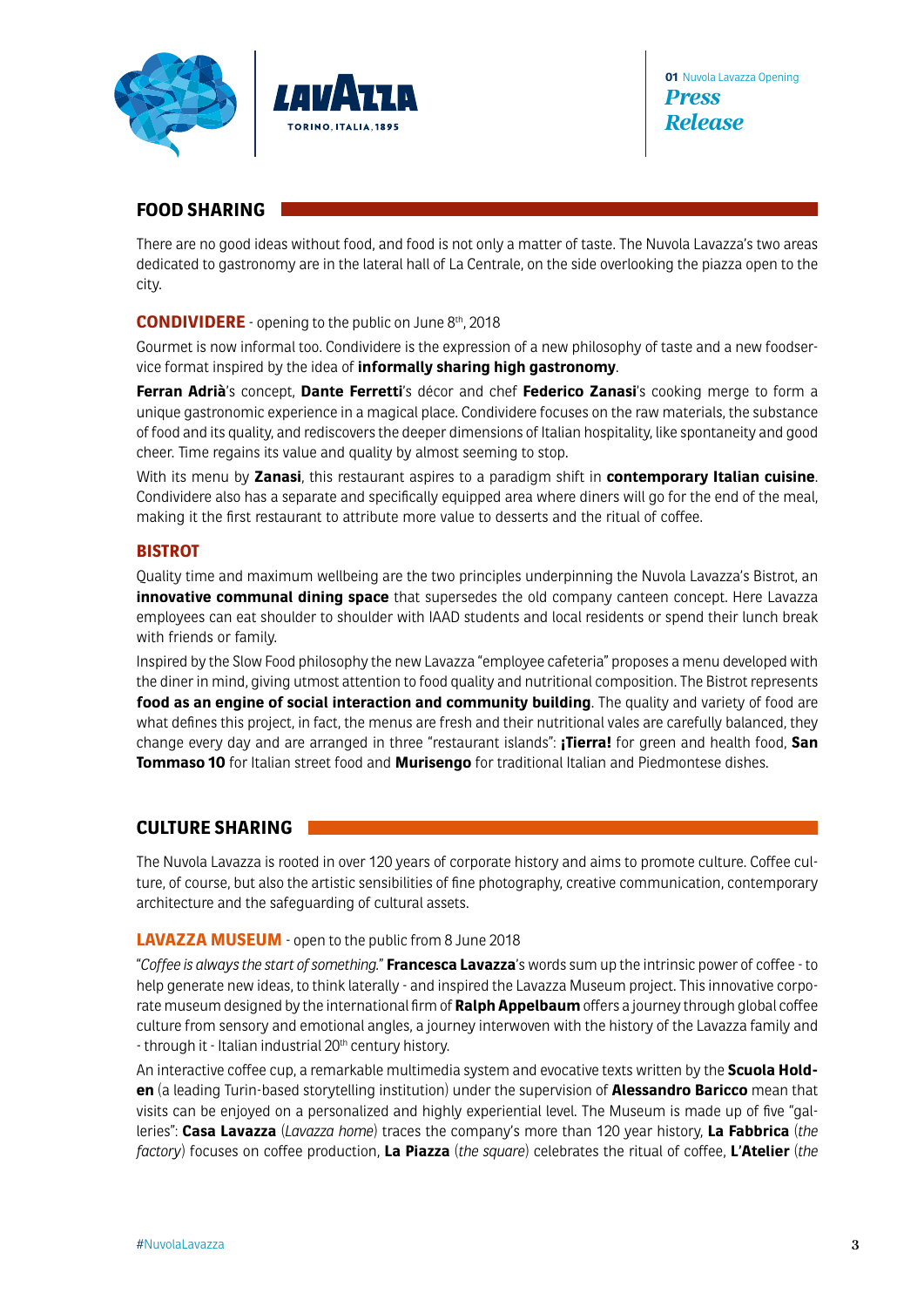



# **FOOD SHARING**

There are no good ideas without food, and food is not only a matter of taste. The Nuvola Lavazza's two areas dedicated to gastronomy are in the lateral hall of La Centrale, on the side overlooking the piazza open to the city.

#### **CONDIVIDERE** - opening to the public on June 8th, 2018

Gourmet is now informal too. Condividere is the expression of a new philosophy of taste and a new foodservice format inspired by the idea of **informally sharing high gastronomy**.

**Ferran Adrià**'s concept, **Dante Ferretti**'s décor and chef **Federico Zanasi**'s cooking merge to form a unique gastronomic experience in a magical place. Condividere focuses on the raw materials, the substance of food and its quality, and rediscovers the deeper dimensions of Italian hospitality, like spontaneity and good cheer. Time regains its value and quality by almost seeming to stop.

With its menu by **Zanasi**, this restaurant aspires to a paradigm shift in **contemporary Italian cuisine**. Condividere also has a separate and specifically equipped area where diners will go for the end of the meal, making it the first restaurant to attribute more value to desserts and the ritual of coffee.

#### **BISTROT**

Quality time and maximum wellbeing are the two principles underpinning the Nuvola Lavazza's Bistrot, an **innovative communal dining space** that supersedes the old company canteen concept. Here Lavazza employees can eat shoulder to shoulder with IAAD students and local residents or spend their lunch break with friends or family.

Inspired by the Slow Food philosophy the new Lavazza "employee cafeteria" proposes a menu developed with the diner in mind, giving utmost attention to food quality and nutritional composition. The Bistrot represents **food as an engine of social interaction and community building**. The quality and variety of food are what defines this project, in fact, the menus are fresh and their nutritional vales are carefully balanced, they change every day and are arranged in three "restaurant islands": **¡Tierra!** for green and health food, **San Tommaso 10** for Italian street food and **Murisengo** for traditional Italian and Piedmontese dishes.

## **CULTURE SHARING**

The Nuvola Lavazza is rooted in over 120 years of corporate history and aims to promote culture. Coffee culture, of course, but also the artistic sensibilities of fine photography, creative communication, contemporary architecture and the safeguarding of cultural assets.

#### **LAVAZZA MUSEUM** - open to the public from 8 June 2018

"*Coffee is always the start of something.*" **Francesca Lavazza**'s words sum up the intrinsic power of coffee - to help generate new ideas, to think laterally - and inspired the Lavazza Museum project. This innovative corporate museum designed by the international firm of **Ralph Appelbaum** offers a journey through global coffee culture from sensory and emotional angles, a journey interwoven with the history of the Lavazza family and - through it - Italian industrial 20<sup>th</sup> century history.

An interactive coffee cup, a remarkable multimedia system and evocative texts written by the **Scuola Holden** (a leading Turin-based storytelling institution) under the supervision of **Alessandro Baricco** mean that visits can be enjoyed on a personalized and highly experiential level. The Museum is made up of five "galleries": **Casa Lavazza** (*Lavazza home*) traces the company's more than 120 year history, **La Fabbrica** (*the factory*) focuses on coffee production, **La Piazza** (*the square*) celebrates the ritual of coffee, **L'Atelier** (*the*